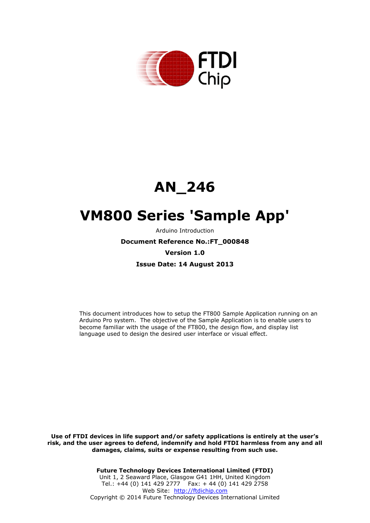

# **AN\_246**

# **VM800 Series 'Sample App'**

Arduino Introduction

**Document Reference No.:FT\_000848**

#### **Version 1.0**

**Issue Date: 14 August 2013**

This document introduces how to setup the FT800 Sample Application running on an Arduino Pro system. The objective of the Sample Application is to enable users to become familiar with the usage of the FT800, the design flow, and display list language used to design the desired user interface or visual effect.

**Use of FTDI devices in life support and/or safety applications is entirely at the user's risk, and the user agrees to defend, indemnify and hold FTDI harmless from any and all damages, claims, suits or expense resulting from such use.**

> **Future Technology Devices International Limited (FTDI)** Unit 1, 2 Seaward Place, Glasgow G41 1HH, United Kingdom Tel.: +44 (0) 141 429 2777 Fax: + 44 (0) 141 429 2758 Web Site: [http://ftdichip.com](http://ftdichip.com/) Copyright © 2014 Future Technology Devices International Limited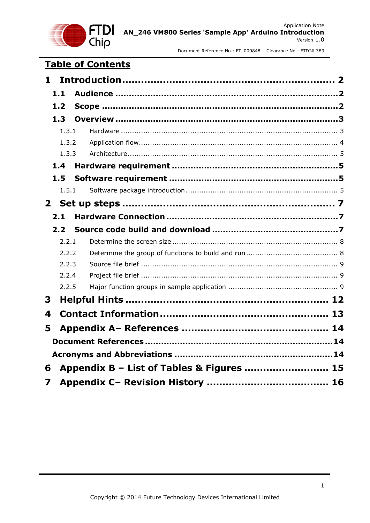

# **Table of Contents**

| 1              |       |                                           |  |
|----------------|-------|-------------------------------------------|--|
|                | 1.1   |                                           |  |
|                | 1.2   |                                           |  |
|                | 1.3   |                                           |  |
|                | 1.3.1 |                                           |  |
|                | 1.3.2 |                                           |  |
|                | 1.3.3 |                                           |  |
|                | 1.4   |                                           |  |
|                | 1.5   |                                           |  |
|                | 1.5.1 |                                           |  |
| 2 <sup>1</sup> |       |                                           |  |
|                | 2.1   |                                           |  |
|                | 2.2   |                                           |  |
|                | 2.2.1 |                                           |  |
|                | 2.2.2 |                                           |  |
|                | 2.2.3 |                                           |  |
|                | 2.2.4 |                                           |  |
|                | 2.2.5 |                                           |  |
| 3              |       |                                           |  |
| 4              |       |                                           |  |
| 5              |       |                                           |  |
|                |       |                                           |  |
|                |       |                                           |  |
|                |       |                                           |  |
| 6              |       | Appendix B - List of Tables & Figures  15 |  |
| 7              |       |                                           |  |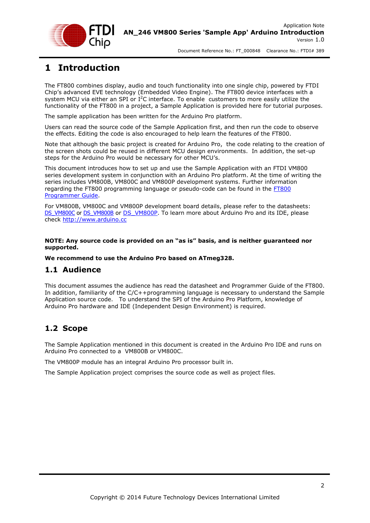

# <span id="page-2-0"></span>**1 Introduction**

The FT800 combines display, audio and touch functionality into one single chip, powered by FTDI Chip's advanced EVE technology (Embedded Video Engine). The FT800 device interfaces with a system MCU via either an SPI or  $I^2C$  interface. To enable customers to more easily utilize the functionality of the FT800 in a project, a Sample Application is provided here for tutorial purposes.

The sample application has been written for the Arduino Pro platform.

Users can read the source code of the Sample Application first, and then run the code to observe the effects. Editing the code is also encouraged to help learn the features of the FT800.

Note that although the basic project is created for Arduino Pro, the code relating to the creation of the screen shots could be reused in different MCU design environments. In addition, the set-up steps for the Arduino Pro would be necessary for other MCU's.

This document introduces how to set up and use the Sample Application with an FTDI VM800 series development system in conjunction with an Arduino Pro platform. At the time of writing the series includes VM800B, VM800C and VM800P development systems. Further information regarding the FT800 programming language or pseudo-code can be found in the [FT800](http://www.ftdichip.com/Support/Documents/ProgramGuides/FT800%20Programmers%20Guide.pdf)  [Programmer](http://www.ftdichip.com/Support/Documents/ProgramGuides/FT800%20Programmers%20Guide.pdf) Guide.

For VM800B, VM800C and VM800P development board details, please refer to the datasheets: [DS\\_VM800C](http://www.ftdichip.com/Support/Documents/DataSheets/Modules/DS_VM800C.pdf) or [DS\\_VM800B](http://www.ftdichip.com/Support/Documents/DataSheets/Modules/DS_VM800B.pdf) or [DS\\_VM800P.](http://www.ftdichip.com/Support/Documents/DataSheets/Modules/DS_VM800P.pdf) To learn more about Arduino Pro and its IDE, please check [http://www.arduino.cc](http://www.arduino.cc/)

**NOTE: Any source code is provided on an "as is" basis, and is neither guaranteed nor supported.**

#### **We recommend to use the Arduino Pro based on ATmeg328.**

# <span id="page-2-1"></span>**1.1 Audience**

This document assumes the audience has read the datasheet and Programmer Guide of the FT800. In addition, familiarity of the C/C++programming language is necessary to understand the Sample Application source code. To understand the SPI of the Arduino Pro Platform, knowledge of Arduino Pro hardware and IDE (Independent Design Environment) is required.

# <span id="page-2-2"></span>**1.2 Scope**

The Sample Application mentioned in this document is created in the Arduino Pro IDE and runs on Arduino Pro connected to a VM800B or VM800C.

The VM800P module has an integral Arduino Pro processor built in.

The Sample Application project comprises the source code as well as project files.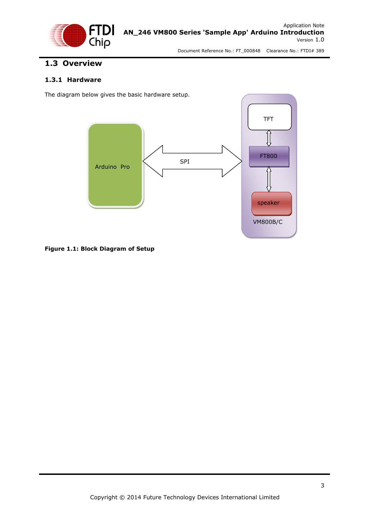

# <span id="page-3-0"></span>**1.3 Overview**

### <span id="page-3-1"></span>**1.3.1 Hardware**

The diagram below gives the basic hardware setup.



<span id="page-3-2"></span>**Figure 1.1: Block Diagram of Setup**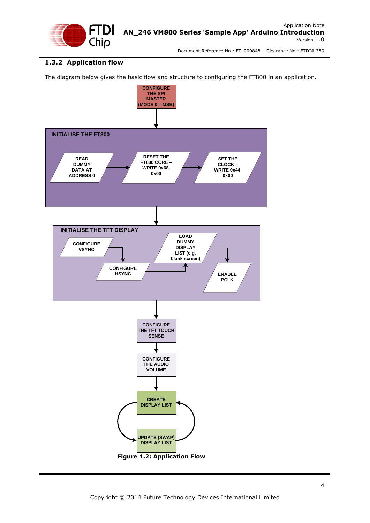

# <span id="page-4-0"></span>**1.3.2 Application flow**

The diagram below gives the basic flow and structure to configuring the FT800 in an application.

<span id="page-4-1"></span>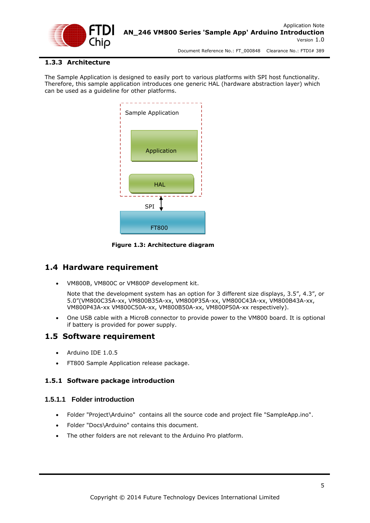

### <span id="page-5-0"></span>**1.3.3 Architecture**

The Sample Application is designed to easily port to various platforms with SPI host functionality. Therefore, this sample application introduces one generic HAL (hardware abstraction layer) which can be used as a guideline for other platforms.



<span id="page-5-4"></span> **Figure 1.3: Architecture diagram**

# <span id="page-5-1"></span>**1.4 Hardware requirement**

VM800B, VM800C or VM800P development kit.

Note that the development system has an option for 3 different size displays, 3.5", 4.3", or 5.0"(VM800C35A-xx, VM800B35A-xx, VM800P35A-xx, VM800C43A-xx, VM800B43A-xx, VM800P43A-xx VM800C50A-xx, VM800B50A-xx, VM800P50A-xx respectively).

 One USB cable with a MicroB connector to provide power to the VM800 board. It is optional if battery is provided for power supply.

# <span id="page-5-2"></span>**1.5 Software requirement**

- Arduino IDE 1.0.5
- FT800 Sample Application release package.

### <span id="page-5-3"></span>**1.5.1 Software package introduction**

### **1.5.1.1 Folder introduction**

- Folder "Project\Arduino" contains all the source code and project file "SampleApp.ino".
- Folder "Docs\Arduino" contains this document.
- The other folders are not relevant to the Arduino Pro platform.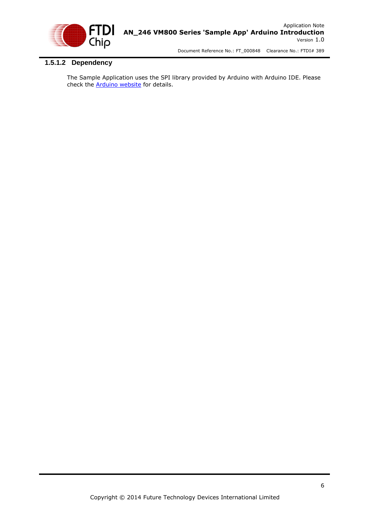

# **1.5.1.2 Dependency**

The Sample Application uses the SPI library provided by Arduino with Arduino IDE. Please check the **[Arduino website](http://arduino.cc/en/Reference/SPI)** for details.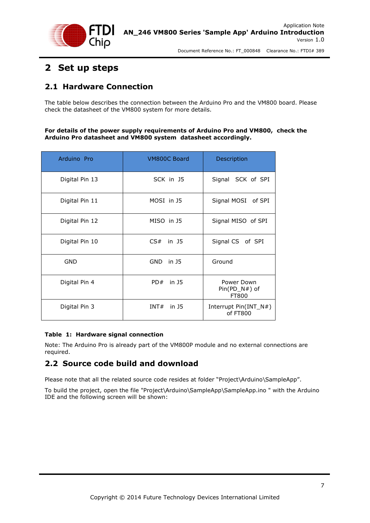

# <span id="page-7-0"></span>**2 Set up steps**

# <span id="page-7-1"></span>**2.1 Hardware Connection**

The table below describes the connection between the Arduino Pro and the VM800 board. Please check the datasheet of the VM800 system for more details.

**For details of the power supply requirements of Arduino Pro and VM800, check the Arduino Pro datasheet and VM800 system datasheet accordingly.** 

| Arduino Pro    | VM800C Board        | Description                            |
|----------------|---------------------|----------------------------------------|
| Digital Pin 13 | SCK in J5           | Signal SCK of SPI                      |
| Digital Pin 11 | MOSI in J5          | Signal MOSI of SPI                     |
| Digital Pin 12 | MISO in J5          | Signal MISO of SPI                     |
| Digital Pin 10 | CS#<br>in J5        | Signal CS of SPI                       |
| GND            | <b>GND</b><br>in J5 | Ground                                 |
| Digital Pin 4  | PD#<br>in 15        | Power Down<br>$Pin(PD_N#)$ of<br>FT800 |
| Digital Pin 3  | INT# in J5          | Interrupt $Pin(INT_N#)$<br>of FT800    |

### <span id="page-7-3"></span>**Table 1: Hardware signal connection**

Note: The Arduino Pro is already part of the VM800P module and no external connections are required.

# <span id="page-7-2"></span>**2.2 Source code build and download**

Please note that all the related source code resides at folder "Project\Arduino\SampleApp".

To build the project, open the file "Project\Arduino\SampleApp\SampleApp.ino " with the Arduino IDE and the following screen will be shown: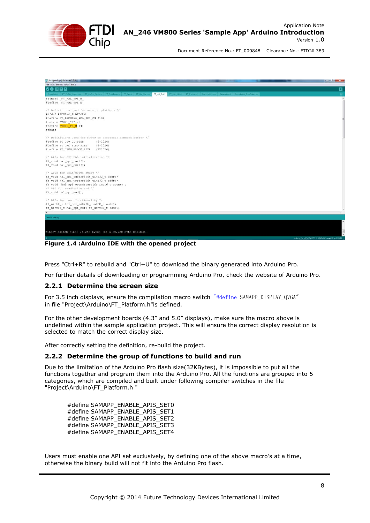

| SampleApp   Arduino 1.0.3<br>File Edit Sketch Tools Help                                                                                                                                   | <b>Constitution of Act</b>                                 |
|--------------------------------------------------------------------------------------------------------------------------------------------------------------------------------------------|------------------------------------------------------------|
| <b>00 © D D</b>                                                                                                                                                                            | ⊡                                                          |
| SampleApp FT_CoPro_Cmds.cpp FT_CoPro_Cmds.h FT_DataTypes.h FT_Gpu.h FT_Hal_Spi.cpp<br>FT Hal Utils h   FT Platform h   SampleApp.cpp   SampleApp.n   SampleApp RawData.cpp<br>FT Hal_Spi.h | 同                                                          |
| #ifndef FT HAL SPI H<br>#define FT HAL SPI H                                                                                                                                               |                                                            |
| $/$ * Definitions used for arduino platform */<br>#ifdef ARDUINO PLATFORM<br>#define FT ARDUINO PRO SPI CS (10)<br>#define FT800 INT (3)<br>#define FT800 PD N (4)<br>#endif               |                                                            |
| /* Definitions used for FT800 co processor command buffer */                                                                                                                               |                                                            |
| #define FT GPU DL SIZE<br>$(8*1024)$                                                                                                                                                       |                                                            |
| #define FT CMD FIFO SIZE<br>$(4*1024)$                                                                                                                                                     |                                                            |
| #define FT JPEG BLOCK SIZE<br>$(2*1024)$                                                                                                                                                   |                                                            |
| /* APIs for SPI HAL initialization */                                                                                                                                                      |                                                            |
| ft void hal spi init();                                                                                                                                                                    |                                                            |
| ft void hal spi exit();                                                                                                                                                                    |                                                            |
| /* APIs for read/write start */                                                                                                                                                            |                                                            |
| ft void hal spi rdstart(ft uint32 t addr);                                                                                                                                                 |                                                            |
| ft_void_hal_spi_wrstart(ft_uint32_t_addr);                                                                                                                                                 |                                                            |
| ft void hal spi wrcmdstart (ft int16 t count) ;                                                                                                                                            |                                                            |
| /* API for read/write end */                                                                                                                                                               |                                                            |
| ft void hal spi end();                                                                                                                                                                     |                                                            |
| $/$ * APIs for read functionality */                                                                                                                                                       |                                                            |
| ft uint8 t hal spi rd8(ft uint32 t addr);                                                                                                                                                  |                                                            |
| ft uint16 t hal spi rd16(ft uint32 t addr);                                                                                                                                                |                                                            |
|                                                                                                                                                                                            |                                                            |
| Jone compiling.                                                                                                                                                                            |                                                            |
|                                                                                                                                                                                            |                                                            |
|                                                                                                                                                                                            |                                                            |
| Binary sketch size: 26,252 bytes (of a 30,720 byte maximum)                                                                                                                                |                                                            |
|                                                                                                                                                                                            | Arduino Pro or Pro Mini (SV, 16 MHz) w/ ATmega320 on COM39 |

<span id="page-8-2"></span>**Figure 1.4 :Arduino IDE with the opened project**

Press "Ctrl+R" to rebuild and "Ctrl+U" to download the binary generated into Arduino Pro.

For further details of downloading or programming Arduino Pro, check the website of Arduino Pro.

#### <span id="page-8-0"></span>**2.2.1 Determine the screen size**

For 3.5 inch displays, ensure the compilation macro switch "#define SAMAPP\_DISPLAY\_QVGA" in file "Project\Arduino\FT\_Platform.h"is defined.

For the other development boards (4.3" and 5.0" displays), make sure the macro above is undefined within the sample application project. This will ensure the correct display resolution is selected to match the correct display size.

After correctly setting the definition, re-build the project.

#### <span id="page-8-1"></span>**2.2.2 Determine the group of functions to build and run**

Due to the limitation of the Arduino Pro flash size(32KBytes), it is impossible to put all the functions together and program them into the Arduino Pro. All the functions are grouped into 5 categories, which are compiled and built under following compiler switches in the file "Project\Arduino\FT\_Platform.h "

#define SAMAPP\_ENABLE\_APIS\_SET0 #define SAMAPP\_ENABLE\_APIS\_SET1 #define SAMAPP\_ENABLE\_APIS\_SET2 #define SAMAPP\_ENABLE\_APIS\_SET3 #define SAMAPP\_ENABLE\_APIS\_SET4

Users must enable one API set exclusively, by defining one of the above macro's at a time, otherwise the binary build will not fit into the Arduino Pro flash.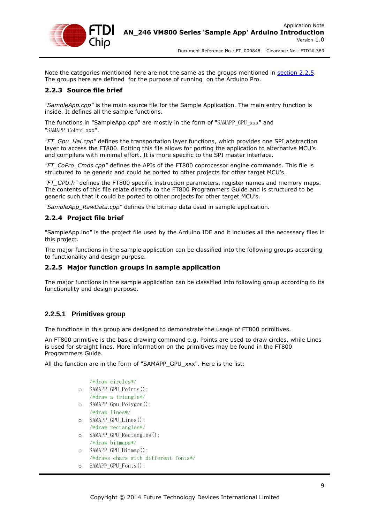

Note the categories mentioned here are not the same as the groups mentioned in [section 2.2.5.](#page-9-3) The groups here are defined for the purpose of running on the Arduino Pro.

### <span id="page-9-0"></span>**2.2.3 Source file brief**

*"SampleApp.cpp"* is the main source file for the Sample Application. The main entry function is inside. It defines all the sample functions.

The functions in "SampleApp.cpp" are mostly in the form of "SAMAPP\_GPU\_xxx" and "SAMAPP\_CoPro\_xxx".

*"FT\_Gpu\_Hal.cpp"* defines the transportation layer functions, which provides one SPI abstraction layer to access the FT800. Editing this file allows for porting the application to alternative MCU's and compilers with minimal effort. It is more specific to the SPI master interface.

*"FT\_CoPro\_Cmds.cpp"* defines the APIs of the FT800 coprocessor engine commands. This file is structured to be generic and could be ported to other projects for other target MCU's.

*"FT\_GPU.h"* defines the FT800 specific instruction parameters, register names and memory maps. The contents of this file relate directly to the FT800 Programmers Guide and is structured to be generic such that it could be ported to other projects for other target MCU's.

*"SampleApp\_RawData.cpp"* defines the bitmap data used in sample application.

#### <span id="page-9-1"></span>**2.2.4 Project file brief**

"SampleApp.ino" is the project file used by the Arduino IDE and it includes all the necessary files in this project.

<span id="page-9-3"></span>The major functions in the sample application can be classified into the following groups according to functionality and design purpose.

#### <span id="page-9-2"></span>**2.2.5 Major function groups in sample application**

The major functions in the sample application can be classified into following group according to its functionality and design purpose.

### **2.2.5.1 Primitives group**

The functions in this group are designed to demonstrate the usage of FT800 primitives.

An FT800 primitive is the basic drawing command e.g. Points are used to draw circles, while Lines is used for straight lines. More information on the primitives may be found in the FT800 Programmers Guide.

All the function are in the form of "SAMAPP\_GPU\_xxx". Here is the list:

```
/*draw circles*/
o SAMAPP_GPU_Points();
   /*draw a triangle*/
o SAMAPP_Gpu_Polygon();
   /*draw lines*/
o SAMAPP_GPU_Lines();
   /*draw rectangles*/
o SAMAPP_GPU_Rectangles();
   /*draw bitmaps*/
o SAMAPP_GPU_Bitmap();
   /*draws chars with different fonts*/
o SAMAPP_GPU_Fonts();
```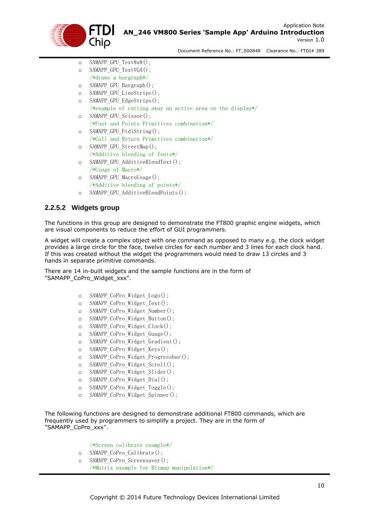

- o SAMAPP\_GPU\_Text8x8();
- o SAMAPP\_GPU\_TextVGA();
	- /\*draws a bargraph\*/
- o SAMAPP\_GPU\_Bargraph();
- o SAMAPP\_GPU\_LineStrips();
- o SAMAPP\_GPU\_EdgeStrips();
- /\*example of cutting away an active area on the display\*/
- o SAMAPP\_GPU\_Scissor(); /\*Font and Points Primitives combination\*/
- o SAMAPP\_GPU\_FtdiString(); /\*Call and Return Primitives combination\*/
- o SAMAPP\_GPU\_StreetMap(); /\*Additive blending of fonts\*/
- o SAMAPP\_GPU\_AdditiveBlendText();
- /\*Usage of Macro\*/
- o SAMAPP\_GPU\_MacroUsage(); /\*Additive blending of points\*/
- o SAMAPP\_GPU\_AdditiveBlendPoints();

## **2.2.5.2 Widgets group**

The functions in this group are designed to demonstrate the FT800 graphic engine widgets, which are visual components to reduce the effort of GUI programmers.

A widget will create a complex object with one command as opposed to many e.g. the clock widget provides a large circle for the face, twelve circles for each number and 3 lines for each clock hand. If this was created without the widget the programmers would need to draw 13 circles and 3 hands in separate primitive commands.

There are 14 in-built widgets and the sample functions are in the form of "SAMAPP\_CoPro\_Widget\_xxx".

- o SAMAPP\_CoPro\_Widget\_Logo();
- o SAMAPP\_CoPro\_Widget\_Text();
- o SAMAPP\_CoPro\_Widget\_Number();
- o SAMAPP\_CoPro\_Widget\_Button();
- o SAMAPP\_CoPro\_Widget\_Clock();
- o SAMAPP\_CoPro\_Widget\_Guage();
- o SAMAPP\_CoPro\_Widget\_Gradient();
- o SAMAPP\_CoPro\_Widget\_Keys();
- o SAMAPP\_CoPro\_Widget\_Progressbar();
- o SAMAPP\_CoPro\_Widget\_Scroll();
- o SAMAPP\_CoPro\_Widget\_Slider();
- o SAMAPP\_CoPro\_Widget\_Dial();
- o SAMAPP\_CoPro\_Widget\_Toggle();
- o SAMAPP\_CoPro\_Widget\_Spinner();

The following functions are designed to demonstrate additional FT800 commands, which are frequently used by programmers to simplify a project. They are in the form of "SAMAPP\_CoPro\_xxx".

/\*Screen calibrate example\*/

- o SAMAPP\_CoPro\_Calibrate();
- o SAMAPP\_CoPro\_Screensaver(); /\*Matrix example for Bitmap manipulation\*/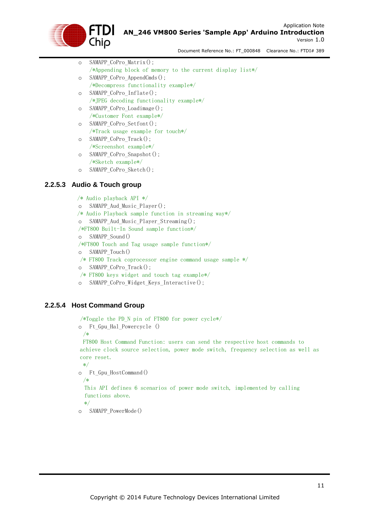

| $\circ$ | SAMAPP CoPro $Matrix()$ ;                                 |
|---------|-----------------------------------------------------------|
|         | /*Appending block of memory to the current display list*/ |
| $\circ$ | SAMAPP CoPro AppendCmds();                                |
|         | $/*$ Decompress functionality example*/                   |
| $\circ$ | SAMAPP CoPro Inflate();                                   |
|         | /*JPEG decoding functionality example*/                   |
| $\circ$ | SAMAPP_CoPro_Loadimage();                                 |
|         | $\sqrt{\text{*}$ Customer Font example*/                  |
| $\circ$ | SAMAPP CoPro Setfont();                                   |
|         | $*\text{Track usage example for touch*}$                  |
| $\circ$ | SAMAPP CoPro Track();                                     |
|         | $/*$ Screenshot example*/                                 |
| $\circ$ | SAMAPP CoPro Snapshot ();                                 |
|         | $/*Sketch example*/$                                      |

o SAMAPP\_CoPro\_Sketch();

## **2.2.5.3 Audio & Touch group**

 /\* Audio playback API \*/ o SAMAPP\_Aud\_Music\_Player(); /\* Audio Playback sample function in streaming way\*/ o SAMAPP\_Aud\_Music\_Player\_Streaming(); /\*FT800 Built-In Sound sample function\*/ o SAMAPP\_Sound() /\*FT800 Touch and Tag usage sample function\*/ o SAMAPP\_Touch() /\* FT800 Track coprocessor engine command usage sample \*/ o SAMAPP\_CoPro\_Track(); /\* FT800 keys widget and touch tag example\*/ o SAMAPP\_CoPro\_Widget\_Keys\_Interactive();

### **2.2.5.4 Host Command Group**

/\*Toggle the PD\_N pin of FT800 for power cycle\*/

```
o Ft_Gpu_Hal_Powercycle ()
  /*
```
FT800 Host Command Function: users can send the respective host commands to achieve clock source selection, power mode switch, frequency selection as well as core reset.

```
 */
```
o Ft\_Gpu\_HostCommand()

/\*

This API defines 6 scenarios of power mode switch, implemented by calling functions above.

\*/

o SAMAPP\_PowerMode()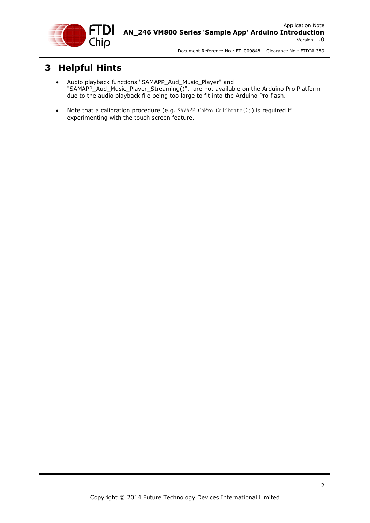

# <span id="page-12-0"></span>**3 Helpful Hints**

- Audio playback functions "SAMAPP\_Aud\_Music\_Player" and "SAMAPP\_Aud\_Music\_Player\_Streaming()", are not available on the Arduino Pro Platform due to the audio playback file being too large to fit into the Arduino Pro flash.
- Note that a calibration procedure (e.g. SAMAPP\_CoPro\_Calibrate();) is required if experimenting with the touch screen feature.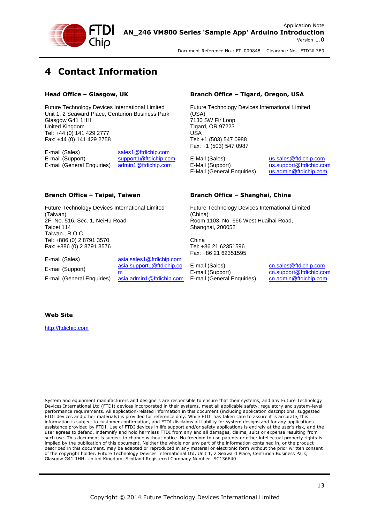

# <span id="page-13-0"></span>**4 Contact Information**

#### **Head Office – Glasgow, UK**

Future Technology Devices International Limited Unit 1, 2 Seaward Place, Centurion Business Park Glasgow G41 1HH United Kingdom Tel: +44 (0) 141 429 2777 Fax: +44 (0) 141 429 2758

E-mail (Sales) [sales1@ftdichip.com](mailto:sales1@ftdichip.com) E-mail (Support) [support1@ftdichip.com](mailto:support1@ftdichip.com) E-mail (General Enquiries) [admin1@ftdichip.com](mailto:admin1@ftdichip.com)

#### **Branch Office – Taipei, Taiwan**

Future Technology Devices International Limited (Taiwan) 2F, No. 516, Sec. 1, NeiHu Road Taipei 114 Taiwan , R.O.C. Tel: +886 (0) 2 8791 3570 Fax: +886 (0) 2 8791 3576

E-mail (Sales) [asia.sales1@ftdichip.com](mailto:asia.sales1@ftdichip.com) E-mail (Support) [asia.support1@ftdichip.co](mailto:asia.support1@ftdichip.com) [m](mailto:asia.support1@ftdichip.com) E-mail (General Enquiries) [asia.admin1@ftdichip.com](mailto:asia.admin1@ftdichip.com)

#### **Branch Office – Tigard, Oregon, USA**

Future Technology Devices International Limited (USA) 7130 SW Fir Loop Tigard, OR 97223 USA Tel: +1 (503) 547 0988 Fax: +1 (503) 547 0987

E-Mail (Sales) [us.sales@ftdichip.com](mailto:us.sales@ftdichip.com) E-Mail (Support) [us.support@ftdichip.com](mailto:us.support@ftdichip.com) E-Mail (General Enquiries) [us.admin@ftdichip.com](mailto:us.admin@ftdichip.com)

#### **Branch Office – Shanghai, China**

Future Technology Devices International Limited (China) Room 1103, No. 666 West Huaihai Road, Shanghai, 200052

China Tel: +86 21 62351596 Fax: +86 21 62351595

E-mail (Sales) [cn.sales@ftdichip.com](mailto:cn.sales@ftdichip.com) E-mail (Support) [cn.support@ftdichip.com](mailto:cn.support@ftdichip.com) E-mail (General Enquiries) [cn.admin@ftdichip.com](mailto:cn.admin@ftdichip.com)

#### **Web Site**

[http://ftdichip.com](http://ftdichip.com/)

System and equipment manufacturers and designers are responsible to ensure that their systems, and any Future Technology Devices International Ltd (FTDI) devices incorporated in their systems, meet all applicable safety, regulatory and system-level performance requirements. All application-related information in this document (including application descriptions, suggested FTDI devices and other materials) is provided for reference only. While FTDI has taken care to assure it is accurate, this information is subject to customer confirmation, and FTDI disclaims all liability for system designs and for any applications assistance provided by FTDI. Use of FTDI devices in life support and/or safety applications is entirely at the user's risk, and the user agrees to defend, indemnify and hold harmless FTDI from any and all damages, claims, suits or expense resulting from such use. This document is subject to change without notice. No freedom to use patents or other intellectual property rights is implied by the publication of this document. Neither the whole nor any part of the information contained in, or the product described in this document, may be adapted or reproduced in any material or electronic form without the prior written consent of the copyright holder. Future Technology Devices International Ltd, Unit 1, 2 Seaward Place, Centurion Business Park, Glasgow G41 1HH, United Kingdom. Scotland Registered Company Number: SC136640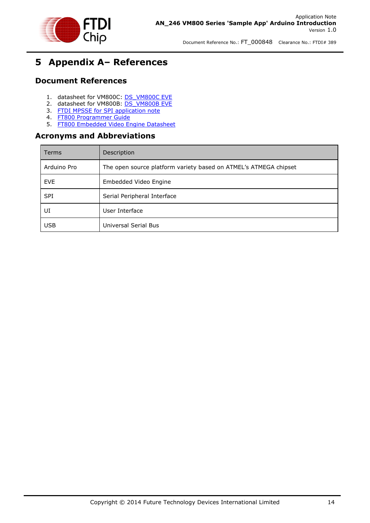

# <span id="page-14-0"></span>**5 Appendix A– References**

# <span id="page-14-1"></span>**Document References**

- 1. datasheet for VM800C: [DS\\_VM800C EVE](http://www.ftdichip.com/Support/Documents/DataSheets/Modules/DS_VM800C.pdf)
- 2. datasheet for VM800B: [DS\\_VM800B EVE](http://www.ftdichip.com/Support/Documents/DataSheets/Modules/DS_VM800B.pdf)
- 3. [FTDI MPSSE for SPI application note](http://www.ftdichip.com/Support/Documents/AppNotes/AN_178_User_Guide_For_LibMPSSE-SPI.pdf)
- 4. [FT800 Programmer Guide](http://www.ftdichip.com/Support/Documents/ProgramGuides/FT800_Programmer)
- 5. [FT800 Embedded Video Engine Datasheet](http://www.ftdichip.com/Support/Documents/DataSheets/ICs/DS_FT800.pdf)

# <span id="page-14-2"></span>**Acronyms and Abbreviations**

| Terms       | Description                                                      |
|-------------|------------------------------------------------------------------|
| Arduino Pro | The open source platform variety based on ATMEL's ATMEGA chipset |
| <b>EVE</b>  | Embedded Video Engine                                            |
| <b>SPI</b>  | Serial Peripheral Interface                                      |
| UI          | User Interface                                                   |
| <b>USB</b>  | Universal Serial Bus                                             |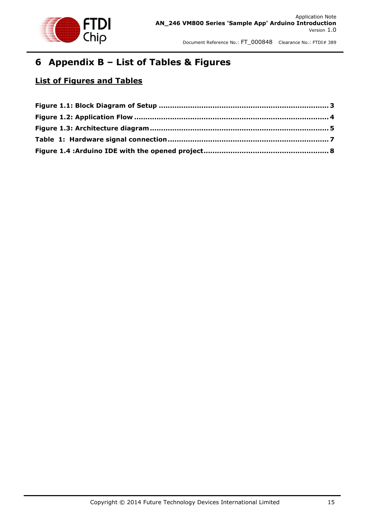

# <span id="page-15-0"></span>**6 Appendix B – List of Tables & Figures**

# **List of Figures and Tables**